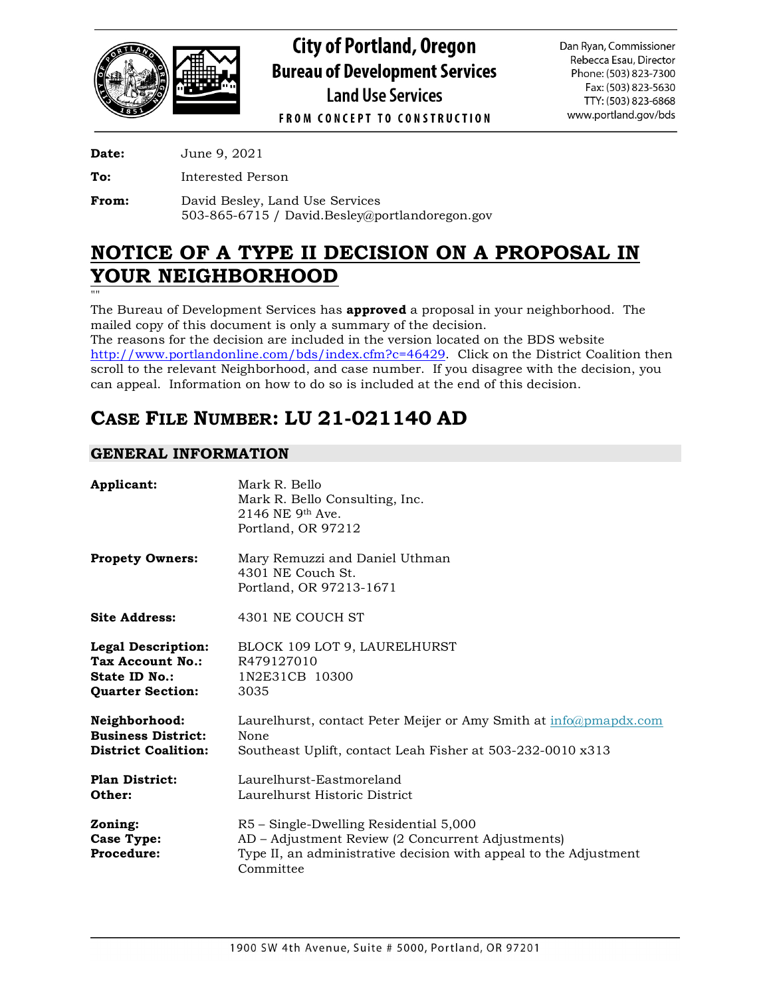

# **City of Portland, Oregon Bureau of Development Services Land Use Services**

Dan Ryan, Commissioner Rebecca Esau, Director Phone: (503) 823-7300 Fax: (503) 823-5630 TTY: (503) 823-6868 www.portland.gov/bds

**FROM CONCEPT TO CONSTRUCTION** 

**Date:** June 9, 2021

**To:** Interested Person

**From:** David Besley, Land Use Services 503-865-6715 / David.Besley@portlandoregon.gov

# **NOTICE OF A TYPE II DECISION ON A PROPOSAL IN YOUR NEIGHBORHOOD**

""

The Bureau of Development Services has **approved** a proposal in your neighborhood. The mailed copy of this document is only a summary of the decision.

The reasons for the decision are included in the version located on the BDS website [http://www.portlandonline.com/bds/index.cfm?c=46429.](http://www.portlandonline.com/bds/index.cfm?c=46429) Click on the District Coalition then scroll to the relevant Neighborhood, and case number. If you disagree with the decision, you can appeal. Information on how to do so is included at the end of this decision.

# **CASE FILE NUMBER: LU 21-021140 AD**

# **GENERAL INFORMATION**

| Applicant:                                                                                | Mark R. Bello<br>Mark R. Bello Consulting, Inc.<br>$2146$ NE 9 <sup>th</sup> Ave.<br>Portland, OR 97212                                                                       |
|-------------------------------------------------------------------------------------------|-------------------------------------------------------------------------------------------------------------------------------------------------------------------------------|
| <b>Propety Owners:</b>                                                                    | Mary Remuzzi and Daniel Uthman<br>4301 NE Couch St.<br>Portland, OR 97213-1671                                                                                                |
| <b>Site Address:</b>                                                                      | 4301 NE COUCH ST                                                                                                                                                              |
| <b>Legal Description:</b><br>Tax Account No.:<br>State ID No.:<br><b>Quarter Section:</b> | BLOCK 109 LOT 9, LAURELHURST<br>R479127010<br>1N2E31CB 10300<br>3035                                                                                                          |
| Neighborhood:<br><b>Business District:</b><br><b>District Coalition:</b>                  | Laurelhurst, contact Peter Meijer or Amy Smith at info@pmapdx.com<br>None<br>Southeast Uplift, contact Leah Fisher at 503-232-0010 x313                                       |
| <b>Plan District:</b><br>Other:                                                           | Laurelhurst-Eastmoreland<br>Laurelhurst Historic District                                                                                                                     |
| Zoning:<br>Case Type:<br>Procedure:                                                       | R5 - Single-Dwelling Residential 5,000<br>AD – Adjustment Review (2 Concurrent Adjustments)<br>Type II, an administrative decision with appeal to the Adjustment<br>Committee |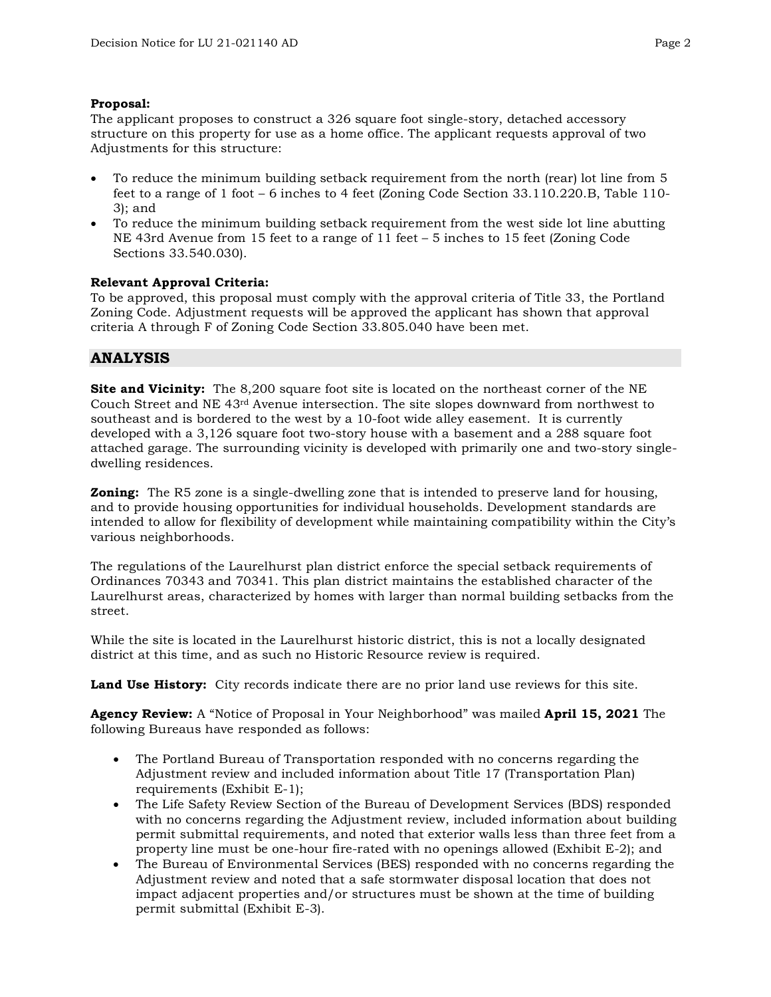#### **Proposal:**

The applicant proposes to construct a 326 square foot single-story, detached accessory structure on this property for use as a home office. The applicant requests approval of two Adjustments for this structure:

- To reduce the minimum building setback requirement from the north (rear) lot line from 5 feet to a range of 1 foot – 6 inches to 4 feet (Zoning Code Section 33.110.220.B, Table 110- 3); and
- To reduce the minimum building setback requirement from the west side lot line abutting NE 43rd Avenue from 15 feet to a range of 11 feet – 5 inches to 15 feet (Zoning Code Sections 33.540.030).

#### **Relevant Approval Criteria:**

To be approved, this proposal must comply with the approval criteria of Title 33, the Portland Zoning Code. Adjustment requests will be approved the applicant has shown that approval criteria A through F of Zoning Code Section 33.805.040 have been met.

# **ANALYSIS**

**Site and Vicinity:** The 8,200 square foot site is located on the northeast corner of the NE Couch Street and NE 43rd Avenue intersection. The site slopes downward from northwest to southeast and is bordered to the west by a 10-foot wide alley easement. It is currently developed with a 3,126 square foot two-story house with a basement and a 288 square foot attached garage. The surrounding vicinity is developed with primarily one and two-story singledwelling residences.

**Zoning:** The R5 zone is a single-dwelling zone that is intended to preserve land for housing, and to provide housing opportunities for individual households. Development standards are intended to allow for flexibility of development while maintaining compatibility within the City's various neighborhoods.

The regulations of the Laurelhurst plan district enforce the special setback requirements of Ordinances 70343 and 70341. This plan district maintains the established character of the Laurelhurst areas, characterized by homes with larger than normal building setbacks from the street.

While the site is located in the Laurelhurst historic district, this is not a locally designated district at this time, and as such no Historic Resource review is required.

**Land Use History:** City records indicate there are no prior land use reviews for this site.

**Agency Review:** A "Notice of Proposal in Your Neighborhood" was mailed **April 15, 2021** The following Bureaus have responded as follows:

- The Portland Bureau of Transportation responded with no concerns regarding the Adjustment review and included information about Title 17 (Transportation Plan) requirements (Exhibit E-1);
- The Life Safety Review Section of the Bureau of Development Services (BDS) responded with no concerns regarding the Adjustment review, included information about building permit submittal requirements, and noted that exterior walls less than three feet from a property line must be one-hour fire-rated with no openings allowed (Exhibit E-2); and
- The Bureau of Environmental Services (BES) responded with no concerns regarding the Adjustment review and noted that a safe stormwater disposal location that does not impact adjacent properties and/or structures must be shown at the time of building permit submittal (Exhibit E-3).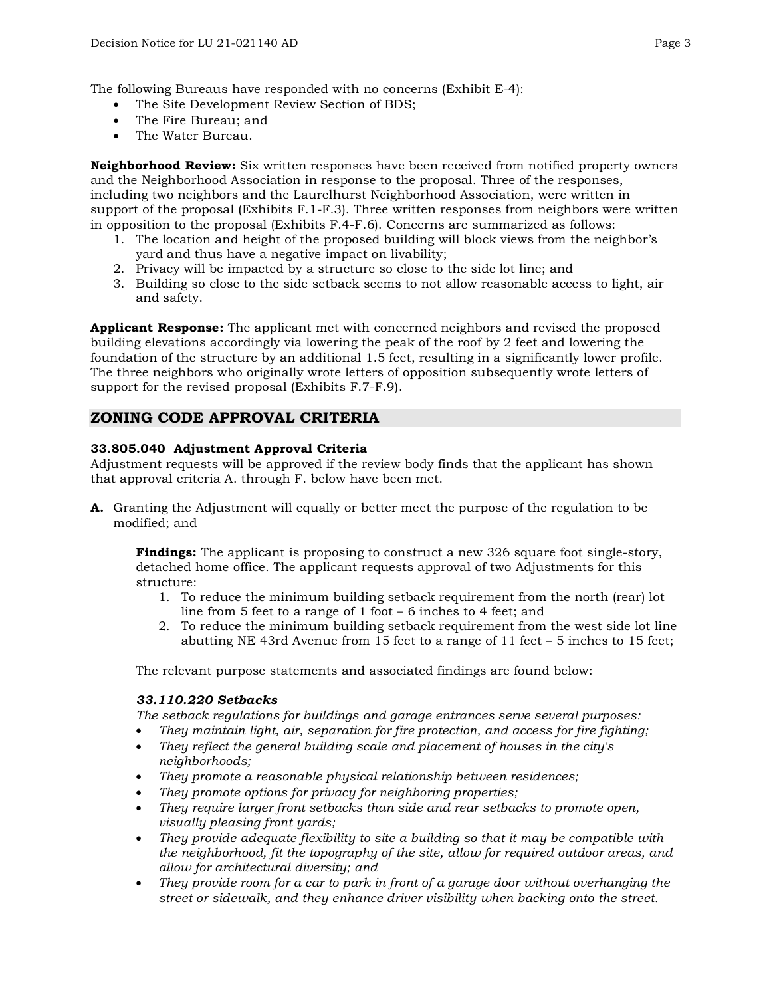The following Bureaus have responded with no concerns (Exhibit E-4):

- The Site Development Review Section of BDS;
- The Fire Bureau; and
- The Water Bureau.

**Neighborhood Review:** Six written responses have been received from notified property owners and the Neighborhood Association in response to the proposal. Three of the responses, including two neighbors and the Laurelhurst Neighborhood Association, were written in support of the proposal (Exhibits F.1-F.3). Three written responses from neighbors were written in opposition to the proposal (Exhibits F.4-F.6). Concerns are summarized as follows:

- 1. The location and height of the proposed building will block views from the neighbor's yard and thus have a negative impact on livability;
- 2. Privacy will be impacted by a structure so close to the side lot line; and
- 3. Building so close to the side setback seems to not allow reasonable access to light, air and safety.

**Applicant Response:** The applicant met with concerned neighbors and revised the proposed building elevations accordingly via lowering the peak of the roof by 2 feet and lowering the foundation of the structure by an additional 1.5 feet, resulting in a significantly lower profile. The three neighbors who originally wrote letters of opposition subsequently wrote letters of support for the revised proposal (Exhibits F.7-F.9).

# **ZONING CODE APPROVAL CRITERIA**

#### **33.805.040 Adjustment Approval Criteria**

Adjustment requests will be approved if the review body finds that the applicant has shown that approval criteria A. through F. below have been met.

**A.** Granting the Adjustment will equally or better meet the purpose of the regulation to be modified; and

**Findings:** The applicant is proposing to construct a new 326 square foot single-story, detached home office. The applicant requests approval of two Adjustments for this structure:

- 1. To reduce the minimum building setback requirement from the north (rear) lot line from 5 feet to a range of 1 foot – 6 inches to 4 feet; and
- 2. To reduce the minimum building setback requirement from the west side lot line abutting NE 43rd Avenue from 15 feet to a range of 11 feet – 5 inches to 15 feet;

The relevant purpose statements and associated findings are found below:

#### *33.110.220 Setbacks*

*The setback regulations for buildings and garage entrances serve several purposes:*

- *They maintain light, air, separation for fire protection, and access for fire fighting;*
- *They reflect the general building scale and placement of houses in the city's neighborhoods;*
- *They promote a reasonable physical relationship between residences;*
- *They promote options for privacy for neighboring properties;*
- *They require larger front setbacks than side and rear setbacks to promote open, visually pleasing front yards;*
- *They provide adequate flexibility to site a building so that it may be compatible with the neighborhood, fit the topography of the site, allow for required outdoor areas, and allow for architectural diversity; and*
- *They provide room for a car to park in front of a garage door without overhanging the street or sidewalk, and they enhance driver visibility when backing onto the street.*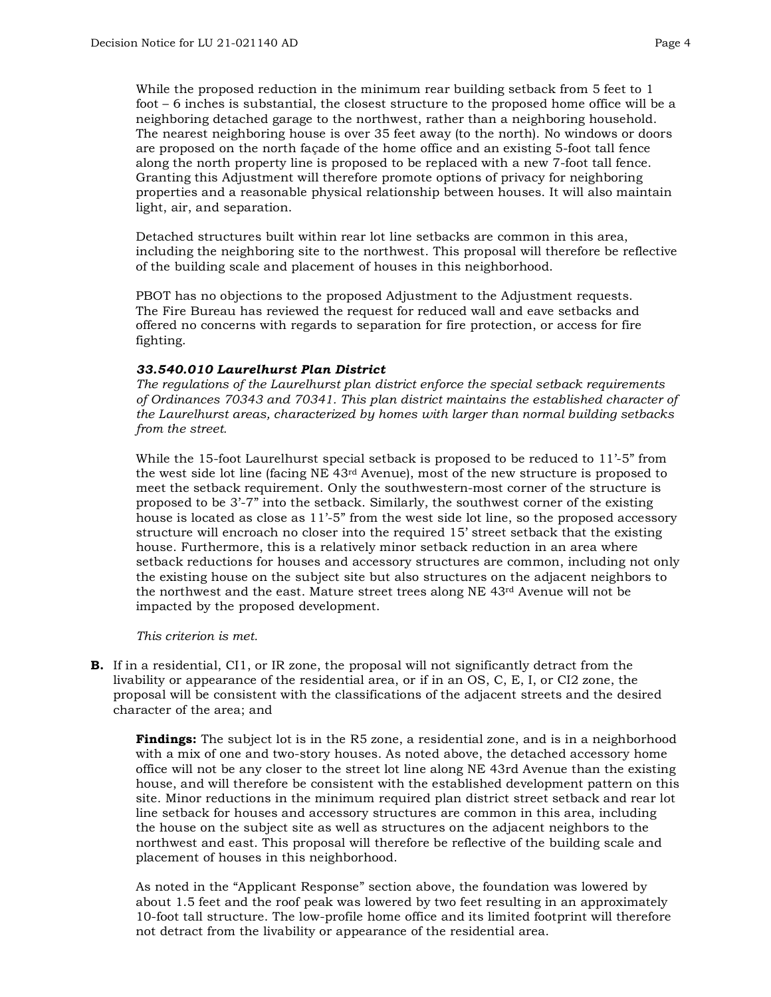While the proposed reduction in the minimum rear building setback from 5 feet to 1 foot – 6 inches is substantial, the closest structure to the proposed home office will be a neighboring detached garage to the northwest, rather than a neighboring household. The nearest neighboring house is over 35 feet away (to the north). No windows or doors are proposed on the north façade of the home office and an existing 5-foot tall fence along the north property line is proposed to be replaced with a new 7-foot tall fence. Granting this Adjustment will therefore promote options of privacy for neighboring properties and a reasonable physical relationship between houses. It will also maintain light, air, and separation.

Detached structures built within rear lot line setbacks are common in this area, including the neighboring site to the northwest. This proposal will therefore be reflective of the building scale and placement of houses in this neighborhood.

PBOT has no objections to the proposed Adjustment to the Adjustment requests. The Fire Bureau has reviewed the request for reduced wall and eave setbacks and offered no concerns with regards to separation for fire protection, or access for fire fighting.

#### *33.540.010 Laurelhurst Plan District*

*The regulations of the Laurelhurst plan district enforce the special setback requirements of Ordinances 70343 and 70341. This plan district maintains the established character of the Laurelhurst areas, characterized by homes with larger than normal building setbacks from the street.*

While the 15-foot Laurelhurst special setback is proposed to be reduced to 11'-5" from the west side lot line (facing  $NE$  43<sup>rd</sup> Avenue), most of the new structure is proposed to meet the setback requirement. Only the southwestern-most corner of the structure is proposed to be 3'-7" into the setback. Similarly, the southwest corner of the existing house is located as close as 11'-5" from the west side lot line, so the proposed accessory structure will encroach no closer into the required 15' street setback that the existing house. Furthermore, this is a relatively minor setback reduction in an area where setback reductions for houses and accessory structures are common, including not only the existing house on the subject site but also structures on the adjacent neighbors to the northwest and the east. Mature street trees along NE 43rd Avenue will not be impacted by the proposed development.

*This criterion is met.*

**B.** If in a residential, CI1, or IR zone, the proposal will not significantly detract from the livability or appearance of the residential area, or if in an OS, C, E, I, or CI2 zone, the proposal will be consistent with the classifications of the adjacent streets and the desired character of the area; and

**Findings:** The subject lot is in the R5 zone, a residential zone, and is in a neighborhood with a mix of one and two-story houses. As noted above, the detached accessory home office will not be any closer to the street lot line along NE 43rd Avenue than the existing house, and will therefore be consistent with the established development pattern on this site. Minor reductions in the minimum required plan district street setback and rear lot line setback for houses and accessory structures are common in this area, including the house on the subject site as well as structures on the adjacent neighbors to the northwest and east. This proposal will therefore be reflective of the building scale and placement of houses in this neighborhood.

As noted in the "Applicant Response" section above, the foundation was lowered by about 1.5 feet and the roof peak was lowered by two feet resulting in an approximately 10-foot tall structure. The low-profile home office and its limited footprint will therefore not detract from the livability or appearance of the residential area.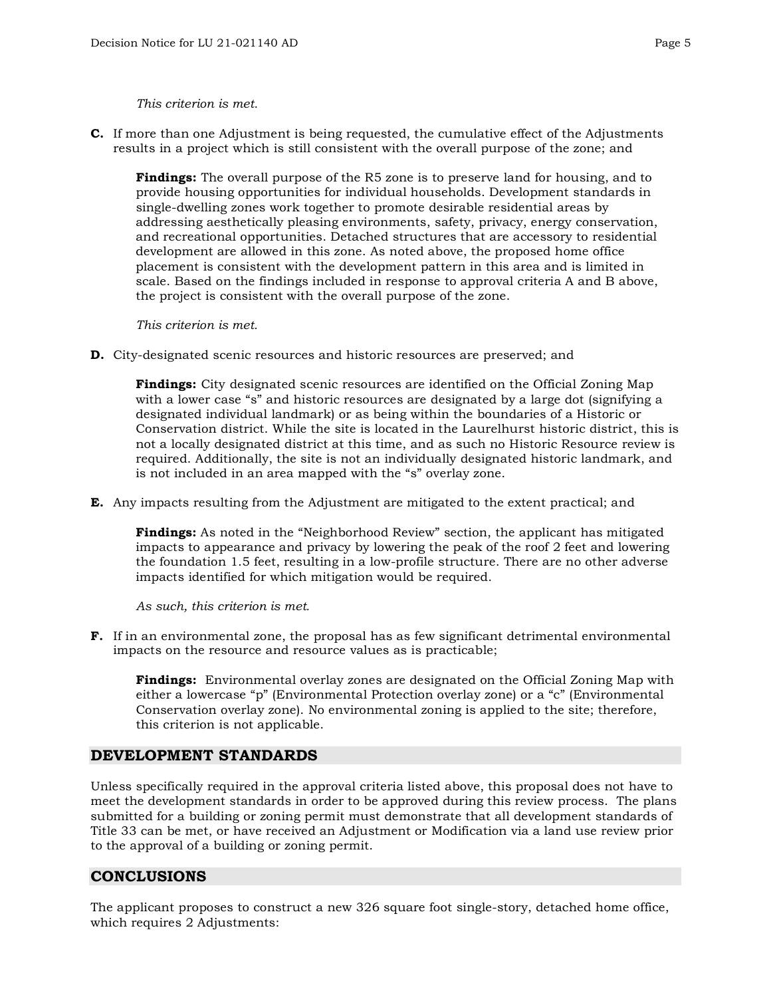#### *This criterion is met.*

**C.** If more than one Adjustment is being requested, the cumulative effect of the Adjustments results in a project which is still consistent with the overall purpose of the zone; and

**Findings:** The overall purpose of the R5 zone is to preserve land for housing, and to provide housing opportunities for individual households. Development standards in single-dwelling zones work together to promote desirable residential areas by addressing aesthetically pleasing environments, safety, privacy, energy conservation, and recreational opportunities. Detached structures that are accessory to residential development are allowed in this zone. As noted above, the proposed home office placement is consistent with the development pattern in this area and is limited in scale. Based on the findings included in response to approval criteria A and B above, the project is consistent with the overall purpose of the zone.

*This criterion is met.*

**D.** City-designated scenic resources and historic resources are preserved; and

**Findings:** City designated scenic resources are identified on the Official Zoning Map with a lower case "s" and historic resources are designated by a large dot (signifying a designated individual landmark) or as being within the boundaries of a Historic or Conservation district. While the site is located in the Laurelhurst historic district, this is not a locally designated district at this time, and as such no Historic Resource review is required. Additionally, the site is not an individually designated historic landmark, and is not included in an area mapped with the "s" overlay zone.

**E.** Any impacts resulting from the Adjustment are mitigated to the extent practical; and

**Findings:** As noted in the "Neighborhood Review" section, the applicant has mitigated impacts to appearance and privacy by lowering the peak of the roof 2 feet and lowering the foundation 1.5 feet, resulting in a low-profile structure. There are no other adverse impacts identified for which mitigation would be required.

*As such, this criterion is met.*

**F.** If in an environmental zone, the proposal has as few significant detrimental environmental impacts on the resource and resource values as is practicable;

**Findings:** Environmental overlay zones are designated on the Official Zoning Map with either a lowercase "p" (Environmental Protection overlay zone) or a "c" (Environmental Conservation overlay zone). No environmental zoning is applied to the site; therefore, this criterion is not applicable.

#### **DEVELOPMENT STANDARDS**

Unless specifically required in the approval criteria listed above, this proposal does not have to meet the development standards in order to be approved during this review process. The plans submitted for a building or zoning permit must demonstrate that all development standards of Title 33 can be met, or have received an Adjustment or Modification via a land use review prior to the approval of a building or zoning permit.

### **CONCLUSIONS**

The applicant proposes to construct a new 326 square foot single-story, detached home office, which requires 2 Adjustments: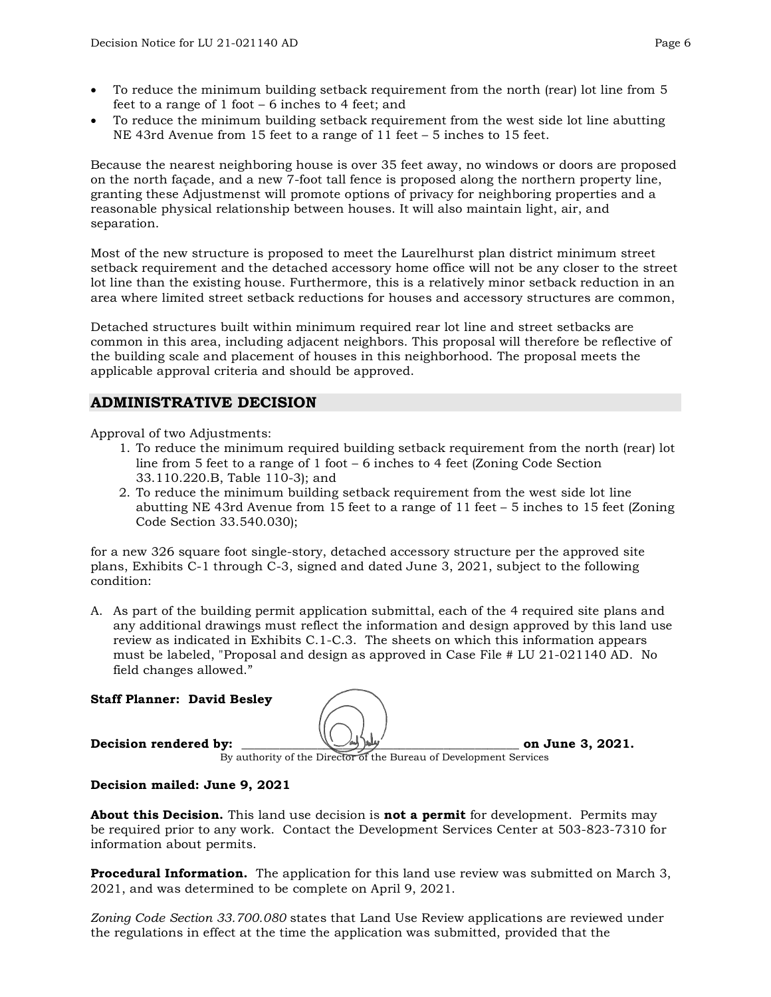- To reduce the minimum building setback requirement from the north (rear) lot line from 5 feet to a range of 1 foot – 6 inches to 4 feet; and
- To reduce the minimum building setback requirement from the west side lot line abutting NE 43rd Avenue from 15 feet to a range of 11 feet – 5 inches to 15 feet.

Because the nearest neighboring house is over 35 feet away, no windows or doors are proposed on the north façade, and a new 7-foot tall fence is proposed along the northern property line, granting these Adjustmenst will promote options of privacy for neighboring properties and a reasonable physical relationship between houses. It will also maintain light, air, and separation.

Most of the new structure is proposed to meet the Laurelhurst plan district minimum street setback requirement and the detached accessory home office will not be any closer to the street lot line than the existing house. Furthermore, this is a relatively minor setback reduction in an area where limited street setback reductions for houses and accessory structures are common,

Detached structures built within minimum required rear lot line and street setbacks are common in this area, including adjacent neighbors. This proposal will therefore be reflective of the building scale and placement of houses in this neighborhood. The proposal meets the applicable approval criteria and should be approved.

# **ADMINISTRATIVE DECISION**

Approval of two Adjustments:

- 1. To reduce the minimum required building setback requirement from the north (rear) lot line from 5 feet to a range of 1 foot – 6 inches to 4 feet (Zoning Code Section 33.110.220.B, Table 110-3); and
- 2. To reduce the minimum building setback requirement from the west side lot line abutting NE 43rd Avenue from 15 feet to a range of 11 feet  $-5$  inches to 15 feet (Zoning Code Section 33.540.030);

for a new 326 square foot single-story, detached accessory structure per the approved site plans, Exhibits C-1 through C-3, signed and dated June 3, 2021, subject to the following condition:

A. As part of the building permit application submittal, each of the 4 required site plans and any additional drawings must reflect the information and design approved by this land use review as indicated in Exhibits C.1-C.3. The sheets on which this information appears must be labeled, "Proposal and design as approved in Case File # LU 21-021140 AD. No field changes allowed."

#### **Staff Planner: David Besley**

**Decision rendered by:**  $\left(\frac{1}{2}\right)^{1/2}$  on June 3, 2021.



By authority of the Director of the Bureau of Development Services

#### **Decision mailed: June 9, 2021**

**About this Decision.** This land use decision is **not a permit** for development. Permits may be required prior to any work. Contact the Development Services Center at 503-823-7310 for information about permits.

**Procedural Information.** The application for this land use review was submitted on March 3, 2021, and was determined to be complete on April 9, 2021.

*Zoning Code Section 33.700.080* states that Land Use Review applications are reviewed under the regulations in effect at the time the application was submitted, provided that the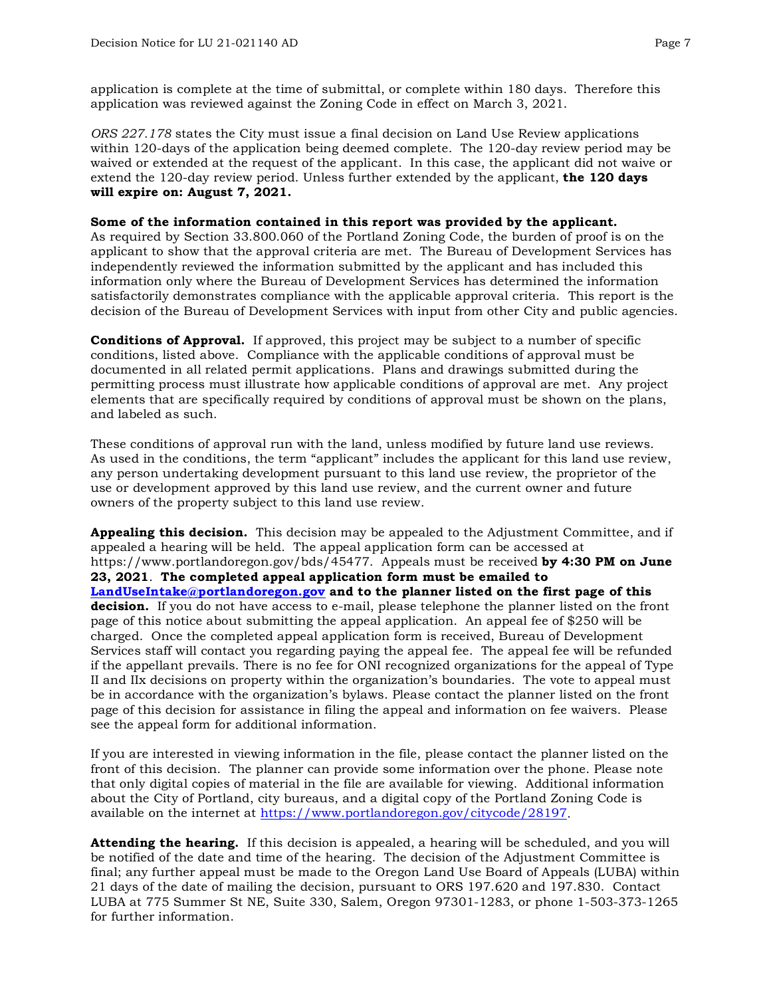application is complete at the time of submittal, or complete within 180 days. Therefore this application was reviewed against the Zoning Code in effect on March 3, 2021.

*ORS 227.178* states the City must issue a final decision on Land Use Review applications within 120-days of the application being deemed complete. The 120-day review period may be waived or extended at the request of the applicant. In this case, the applicant did not waive or extend the 120-day review period. Unless further extended by the applicant, **the 120 days will expire on: August 7, 2021.**

#### **Some of the information contained in this report was provided by the applicant.**

As required by Section 33.800.060 of the Portland Zoning Code, the burden of proof is on the applicant to show that the approval criteria are met. The Bureau of Development Services has independently reviewed the information submitted by the applicant and has included this information only where the Bureau of Development Services has determined the information satisfactorily demonstrates compliance with the applicable approval criteria. This report is the decision of the Bureau of Development Services with input from other City and public agencies.

**Conditions of Approval.** If approved, this project may be subject to a number of specific conditions, listed above. Compliance with the applicable conditions of approval must be documented in all related permit applications. Plans and drawings submitted during the permitting process must illustrate how applicable conditions of approval are met. Any project elements that are specifically required by conditions of approval must be shown on the plans, and labeled as such.

These conditions of approval run with the land, unless modified by future land use reviews. As used in the conditions, the term "applicant" includes the applicant for this land use review, any person undertaking development pursuant to this land use review, the proprietor of the use or development approved by this land use review, and the current owner and future owners of the property subject to this land use review.

**Appealing this decision.** This decision may be appealed to the Adjustment Committee, and if appealed a hearing will be held. The appeal application form can be accessed at https://www.portlandoregon.gov/bds/45477. Appeals must be received **by 4:30 PM on June 23, 2021**. **The completed appeal application form must be emailed to [LandUseIntake@portlandoregon.gov](mailto:LandUseIntake@portlandoregon.gov) and to the planner listed on the first page of this decision.** If you do not have access to e-mail, please telephone the planner listed on the front page of this notice about submitting the appeal application. An appeal fee of \$250 will be charged. Once the completed appeal application form is received, Bureau of Development Services staff will contact you regarding paying the appeal fee. The appeal fee will be refunded if the appellant prevails. There is no fee for ONI recognized organizations for the appeal of Type II and IIx decisions on property within the organization's boundaries. The vote to appeal must be in accordance with the organization's bylaws. Please contact the planner listed on the front page of this decision for assistance in filing the appeal and information on fee waivers. Please see the appeal form for additional information.

If you are interested in viewing information in the file, please contact the planner listed on the front of this decision. The planner can provide some information over the phone. Please note that only digital copies of material in the file are available for viewing. Additional information about the City of Portland, city bureaus, and a digital copy of the Portland Zoning Code is available on the internet at [https://www.portlandoregon.gov/citycode/28197.](https://www.portlandoregon.gov/citycode/28197)

**Attending the hearing.** If this decision is appealed, a hearing will be scheduled, and you will be notified of the date and time of the hearing. The decision of the Adjustment Committee is final; any further appeal must be made to the Oregon Land Use Board of Appeals (LUBA) within 21 days of the date of mailing the decision, pursuant to ORS 197.620 and 197.830. Contact LUBA at 775 Summer St NE, Suite 330, Salem, Oregon 97301-1283, or phone 1-503-373-1265 for further information.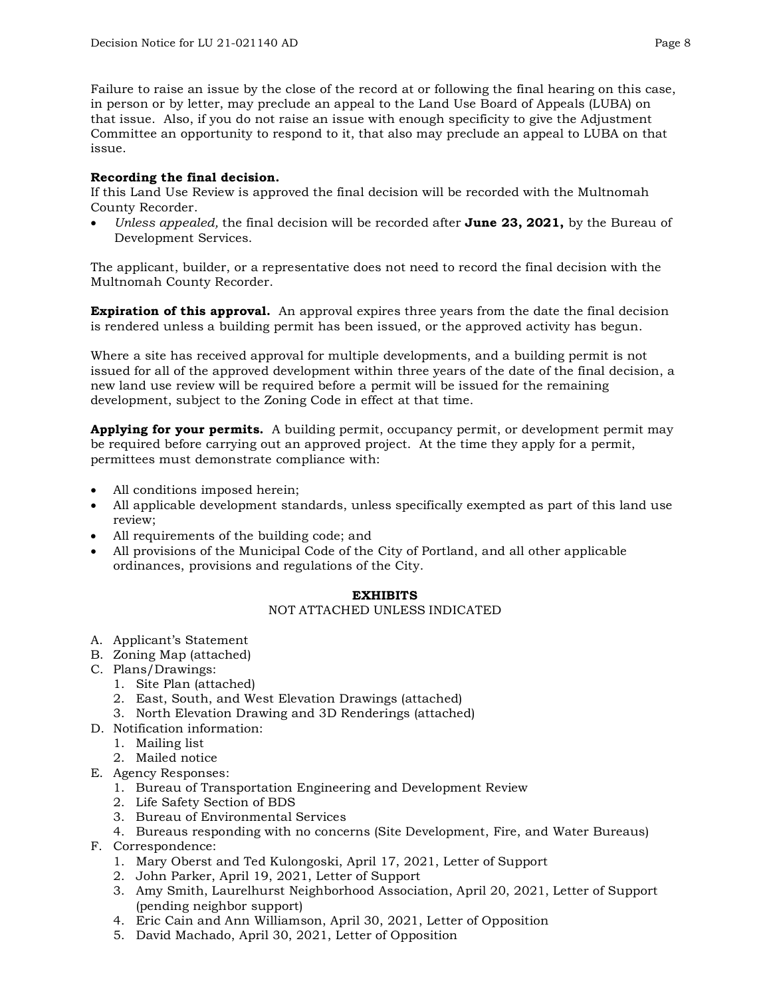Failure to raise an issue by the close of the record at or following the final hearing on this case, in person or by letter, may preclude an appeal to the Land Use Board of Appeals (LUBA) on that issue. Also, if you do not raise an issue with enough specificity to give the Adjustment Committee an opportunity to respond to it, that also may preclude an appeal to LUBA on that issue.

### **Recording the final decision.**

If this Land Use Review is approved the final decision will be recorded with the Multnomah County Recorder.

• *Unless appealed,* the final decision will be recorded after **June 23, 2021,** by the Bureau of Development Services.

The applicant, builder, or a representative does not need to record the final decision with the Multnomah County Recorder.

**Expiration of this approval.** An approval expires three years from the date the final decision is rendered unless a building permit has been issued, or the approved activity has begun.

Where a site has received approval for multiple developments, and a building permit is not issued for all of the approved development within three years of the date of the final decision, a new land use review will be required before a permit will be issued for the remaining development, subject to the Zoning Code in effect at that time.

**Applying for your permits.** A building permit, occupancy permit, or development permit may be required before carrying out an approved project. At the time they apply for a permit, permittees must demonstrate compliance with:

- All conditions imposed herein;
- All applicable development standards, unless specifically exempted as part of this land use review;
- All requirements of the building code; and
- All provisions of the Municipal Code of the City of Portland, and all other applicable ordinances, provisions and regulations of the City.

#### **EXHIBITS**

#### NOT ATTACHED UNLESS INDICATED

- A. Applicant's Statement
- B. Zoning Map (attached)
- C. Plans/Drawings:
	- 1. Site Plan (attached)
	- 2. East, South, and West Elevation Drawings (attached)
	- 3. North Elevation Drawing and 3D Renderings (attached)
- D. Notification information:
	- 1. Mailing list
		- 2. Mailed notice
- E. Agency Responses:
	- 1. Bureau of Transportation Engineering and Development Review
	- 2. Life Safety Section of BDS
	- 3. Bureau of Environmental Services
	- 4. Bureaus responding with no concerns (Site Development, Fire, and Water Bureaus)
- F. Correspondence:
	- 1. Mary Oberst and Ted Kulongoski, April 17, 2021, Letter of Support
	- 2. John Parker, April 19, 2021, Letter of Support
	- 3. Amy Smith, Laurelhurst Neighborhood Association, April 20, 2021, Letter of Support (pending neighbor support)
	- 4. Eric Cain and Ann Williamson, April 30, 2021, Letter of Opposition
	- 5. David Machado, April 30, 2021, Letter of Opposition